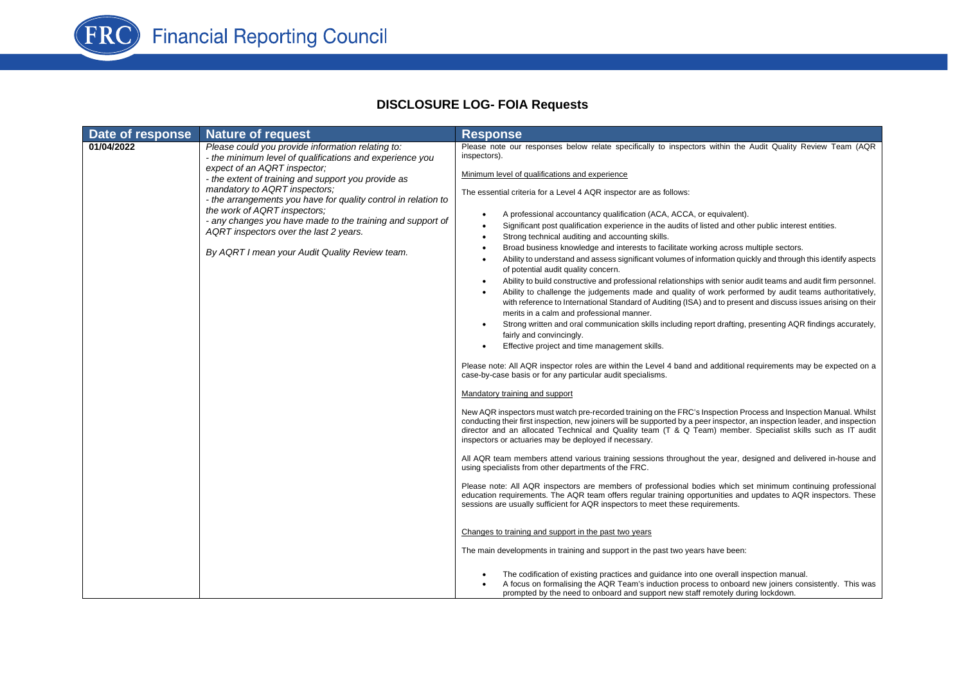

## **DISCLOSURE LOG- FOIA Requests**

| Date of response | <b>Nature of request</b>                                                                                                                                                                                                                                                                                                                                                                                                                                                                          | <b>Response</b>                                                                                                                                                                                                                                                                                                                                                                                                                                                                                                                                                                                                                                                                                                                                                                                                                                                                                                                                                                                                                                                                                                                                                                                                                                                                                                                                                                                                                                                                                                                                                                                                                                                                                                                                                                                                                                                                                                                                                                                                                                                                                                                                                                                                                                                                                                                                                                                                                                                                                                                                                                                                                                                                                                                                                                                                                                                                                                                      |
|------------------|---------------------------------------------------------------------------------------------------------------------------------------------------------------------------------------------------------------------------------------------------------------------------------------------------------------------------------------------------------------------------------------------------------------------------------------------------------------------------------------------------|--------------------------------------------------------------------------------------------------------------------------------------------------------------------------------------------------------------------------------------------------------------------------------------------------------------------------------------------------------------------------------------------------------------------------------------------------------------------------------------------------------------------------------------------------------------------------------------------------------------------------------------------------------------------------------------------------------------------------------------------------------------------------------------------------------------------------------------------------------------------------------------------------------------------------------------------------------------------------------------------------------------------------------------------------------------------------------------------------------------------------------------------------------------------------------------------------------------------------------------------------------------------------------------------------------------------------------------------------------------------------------------------------------------------------------------------------------------------------------------------------------------------------------------------------------------------------------------------------------------------------------------------------------------------------------------------------------------------------------------------------------------------------------------------------------------------------------------------------------------------------------------------------------------------------------------------------------------------------------------------------------------------------------------------------------------------------------------------------------------------------------------------------------------------------------------------------------------------------------------------------------------------------------------------------------------------------------------------------------------------------------------------------------------------------------------------------------------------------------------------------------------------------------------------------------------------------------------------------------------------------------------------------------------------------------------------------------------------------------------------------------------------------------------------------------------------------------------------------------------------------------------------------------------------------------------|
| 01/04/2022       | Please could you provide information relating to:<br>- the minimum level of qualifications and experience you<br>expect of an AQRT inspector;<br>- the extent of training and support you provide as<br>mandatory to AQRT inspectors:<br>- the arrangements you have for quality control in relation to<br>the work of AQRT inspectors;<br>- any changes you have made to the training and support of<br>AQRT inspectors over the last 2 years.<br>By AQRT I mean your Audit Quality Review team. | Please note our responses below relate specifically to inspectors within the Audit Quality Review Team (AQR<br>inspectors).<br>Minimum level of qualifications and experience<br>The essential criteria for a Level 4 AQR inspector are as follows:<br>A professional accountancy qualification (ACA, ACCA, or equivalent).<br>Significant post qualification experience in the audits of listed and other public interest entities.<br>Strong technical auditing and accounting skills.<br>$\bullet$<br>Broad business knowledge and interests to facilitate working across multiple sectors.<br>٠<br>Ability to understand and assess significant volumes of information quickly and through this identify aspects<br>of potential audit quality concern.<br>Ability to build constructive and professional relationships with senior audit teams and audit firm personnel.<br>Ability to challenge the judgements made and quality of work performed by audit teams authoritatively,<br>with reference to International Standard of Auditing (ISA) and to present and discuss issues arising on their<br>merits in a calm and professional manner.<br>Strong written and oral communication skills including report drafting, presenting AQR findings accurately,<br>fairly and convincingly.<br>Effective project and time management skills.<br>Please note: All AQR inspector roles are within the Level 4 band and additional requirements may be expected on a<br>case-by-case basis or for any particular audit specialisms.<br>Mandatory training and support<br>New AQR inspectors must watch pre-recorded training on the FRC's Inspection Process and Inspection Manual. Whilst<br>conducting their first inspection, new joiners will be supported by a peer inspector, an inspection leader, and inspection<br>director and an allocated Technical and Quality team (T & Q Team) member. Specialist skills such as IT audit<br>inspectors or actuaries may be deployed if necessary.<br>All AQR team members attend various training sessions throughout the year, designed and delivered in-house and<br>using specialists from other departments of the FRC.<br>Please note: All AQR inspectors are members of professional bodies which set minimum continuing professional<br>education requirements. The AQR team offers regular training opportunities and updates to AQR inspectors. These<br>sessions are usually sufficient for AQR inspectors to meet these requirements.<br>Changes to training and support in the past two years<br>The main developments in training and support in the past two years have been:<br>The codification of existing practices and guidance into one overall inspection manual.<br>A focus on formalising the AQR Team's induction process to onboard new joiners consistently. This was<br>prompted by the need to onboard and support new staff remotely during lockdown. |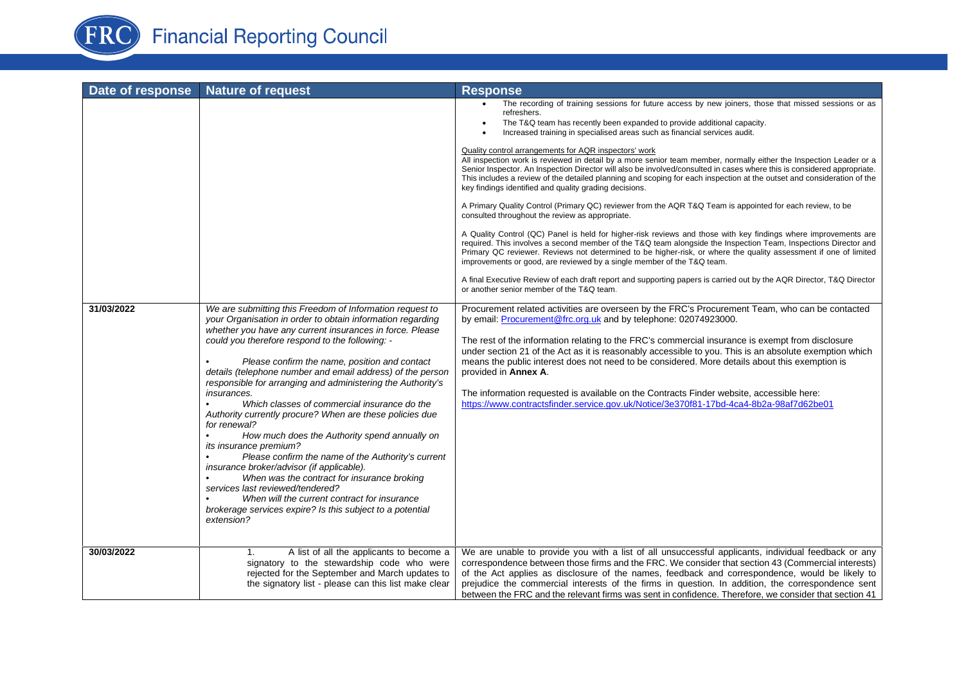

| Date of response | <b>Nature of request</b>                                                                                                                                                                                                                                                                                                                                                                                                                                                                                                                                                                                                                                                                                                                                                                                                                                                                                                                                                              | <b>Response</b>                                                                                                                                                                                                                                                                                                                                                                                                                                                                                                                                                                                                                                                                                                                                                                                                                                                                                                                                                                                                                                                                                                                                                                                                                                                                                                                                                                                                                                                                                                                                     |
|------------------|---------------------------------------------------------------------------------------------------------------------------------------------------------------------------------------------------------------------------------------------------------------------------------------------------------------------------------------------------------------------------------------------------------------------------------------------------------------------------------------------------------------------------------------------------------------------------------------------------------------------------------------------------------------------------------------------------------------------------------------------------------------------------------------------------------------------------------------------------------------------------------------------------------------------------------------------------------------------------------------|-----------------------------------------------------------------------------------------------------------------------------------------------------------------------------------------------------------------------------------------------------------------------------------------------------------------------------------------------------------------------------------------------------------------------------------------------------------------------------------------------------------------------------------------------------------------------------------------------------------------------------------------------------------------------------------------------------------------------------------------------------------------------------------------------------------------------------------------------------------------------------------------------------------------------------------------------------------------------------------------------------------------------------------------------------------------------------------------------------------------------------------------------------------------------------------------------------------------------------------------------------------------------------------------------------------------------------------------------------------------------------------------------------------------------------------------------------------------------------------------------------------------------------------------------------|
|                  |                                                                                                                                                                                                                                                                                                                                                                                                                                                                                                                                                                                                                                                                                                                                                                                                                                                                                                                                                                                       | The recording of training sessions for future access by new joiners, those that missed sessions or as<br>refreshers.<br>The T&Q team has recently been expanded to provide additional capacity.<br>Increased training in specialised areas such as financial services audit.<br>Quality control arrangements for AQR inspectors' work<br>All inspection work is reviewed in detail by a more senior team member, normally either the Inspection Leader or a<br>Senior Inspector. An Inspection Director will also be involved/consulted in cases where this is considered appropriate.<br>This includes a review of the detailed planning and scoping for each inspection at the outset and consideration of the<br>key findings identified and quality grading decisions.<br>A Primary Quality Control (Primary QC) reviewer from the AQR T&Q Team is appointed for each review, to be<br>consulted throughout the review as appropriate.<br>A Quality Control (QC) Panel is held for higher-risk reviews and those with key findings where improvements are<br>required. This involves a second member of the T&Q team alongside the Inspection Team, Inspections Director and<br>Primary QC reviewer. Reviews not determined to be higher-risk, or where the quality assessment if one of limited<br>improvements or good, are reviewed by a single member of the T&Q team.<br>A final Executive Review of each draft report and supporting papers is carried out by the AQR Director, T&Q Director<br>or another senior member of the T&Q team. |
| 31/03/2022       | We are submitting this Freedom of Information request to<br>your Organisation in order to obtain information regarding<br>whether you have any current insurances in force. Please<br>could you therefore respond to the following: -<br>Please confirm the name, position and contact<br>details (telephone number and email address) of the person<br>responsible for arranging and administering the Authority's<br><i>insurances.</i><br>Which classes of commercial insurance do the<br>$\bullet$<br>Authority currently procure? When are these policies due<br>for renewal?<br>How much does the Authority spend annually on<br><i>its insurance premium?</i><br>Please confirm the name of the Authority's current<br>insurance broker/advisor (if applicable).<br>When was the contract for insurance broking<br>services last reviewed/tendered?<br>When will the current contract for insurance<br>brokerage services expire? Is this subject to a potential<br>extension? | Procurement related activities are overseen by the FRC's Procurement Team, who can be contacted<br>by email: Procurement@frc.org.uk and by telephone: 02074923000.<br>The rest of the information relating to the FRC's commercial insurance is exempt from disclosure<br>under section 21 of the Act as it is reasonably accessible to you. This is an absolute exemption which<br>means the public interest does not need to be considered. More details about this exemption is<br>provided in Annex A.<br>The information requested is available on the Contracts Finder website, accessible here:<br>https://www.contractsfinder.service.gov.uk/Notice/3e370f81-17bd-4ca4-8b2a-98af7d62be01                                                                                                                                                                                                                                                                                                                                                                                                                                                                                                                                                                                                                                                                                                                                                                                                                                                    |
| 30/03/2022       | A list of all the applicants to become a<br>1.<br>signatory to the stewardship code who were<br>rejected for the September and March updates to<br>the signatory list - please can this list make clear                                                                                                                                                                                                                                                                                                                                                                                                                                                                                                                                                                                                                                                                                                                                                                               | We are unable to provide you with a list of all unsuccessful applicants, individual feedback or any<br>correspondence between those firms and the FRC. We consider that section 43 (Commercial interests)<br>of the Act applies as disclosure of the names, feedback and correspondence, would be likely to<br>prejudice the commercial interests of the firms in question. In addition, the correspondence sent<br>between the FRC and the relevant firms was sent in confidence. Therefore, we consider that section 41                                                                                                                                                                                                                                                                                                                                                                                                                                                                                                                                                                                                                                                                                                                                                                                                                                                                                                                                                                                                                           |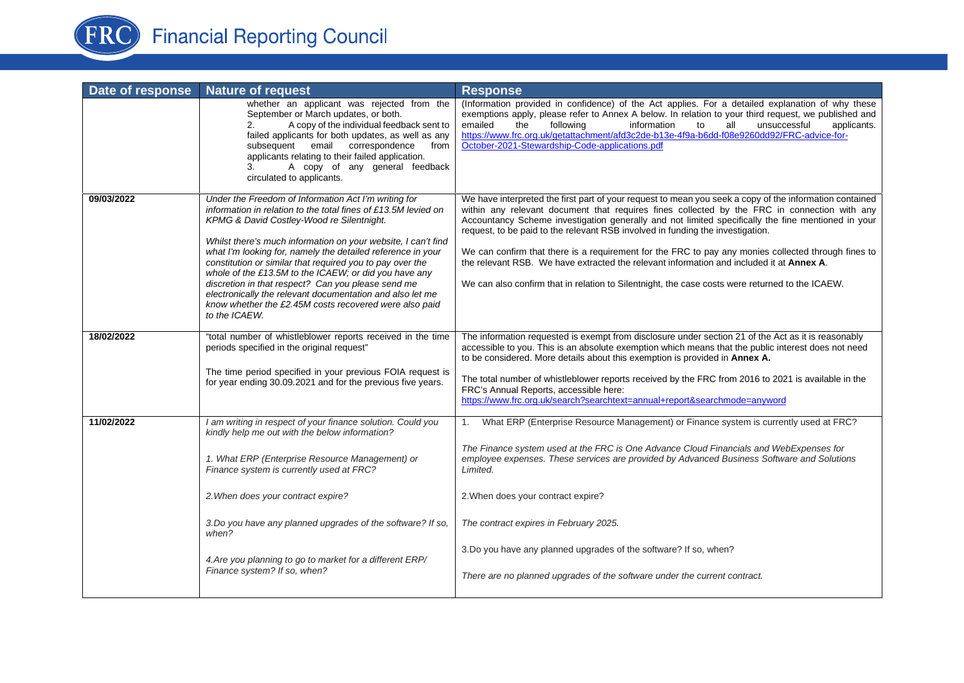

|            | <b>Nature of request</b>                                                                                                                                                                                                                                                                                                                                                                                                                                                                                                                                                                                                | <b>Response</b>                                                                                                                                                                                                                                                                                                                                                                                                                                                                                                                                                                                                                                                                                       |
|------------|-------------------------------------------------------------------------------------------------------------------------------------------------------------------------------------------------------------------------------------------------------------------------------------------------------------------------------------------------------------------------------------------------------------------------------------------------------------------------------------------------------------------------------------------------------------------------------------------------------------------------|-------------------------------------------------------------------------------------------------------------------------------------------------------------------------------------------------------------------------------------------------------------------------------------------------------------------------------------------------------------------------------------------------------------------------------------------------------------------------------------------------------------------------------------------------------------------------------------------------------------------------------------------------------------------------------------------------------|
|            | whether an applicant was rejected from the<br>September or March updates, or both.<br>A copy of the individual feedback sent to<br>2.<br>failed applicants for both updates, as well as any<br>subsequent email correspondence<br>from<br>applicants relating to their failed application.<br>A copy of any general feedback<br>3.<br>circulated to applicants.                                                                                                                                                                                                                                                         | (Information provided in confidence) of the Act applies. For a detailed explanation of why these<br>exemptions apply, please refer to Annex A below. In relation to your third request, we published and<br>unsuccessful<br>emailed<br>the<br>following<br>information<br>all<br>applicants.<br>to<br>https://www.frc.org.uk/getattachment/afd3c2de-b13e-4f9a-b6dd-f08e9260dd92/FRC-advice-for-<br>October-2021-Stewardship-Code-applications.pdf                                                                                                                                                                                                                                                     |
| 09/03/2022 | Under the Freedom of Information Act I'm writing for<br>information in relation to the total fines of £13.5M levied on<br>KPMG & David Costley-Wood re Silentnight.<br>Whilst there's much information on your website, I can't find<br>what I'm looking for, namely the detailed reference in your<br>constitution or similar that required you to pay over the<br>whole of the £13.5M to the ICAEW; or did you have any<br>discretion in that respect? Can you please send me<br>electronically the relevant documentation and also let me<br>know whether the £2.45M costs recovered were also paid<br>to the ICAEW. | We have interpreted the first part of your request to mean you seek a copy of the information contained<br>within any relevant document that requires fines collected by the FRC in connection with any<br>Accountancy Scheme investigation generally and not limited specifically the fine mentioned in your<br>request, to be paid to the relevant RSB involved in funding the investigation.<br>We can confirm that there is a requirement for the FRC to pay any monies collected through fines to<br>the relevant RSB. We have extracted the relevant information and included it at Annex A.<br>We can also confirm that in relation to Silentnight, the case costs were returned to the ICAEW. |
| 18/02/2022 | "total number of whistleblower reports received in the time<br>periods specified in the original request"<br>The time period specified in your previous FOIA request is<br>for year ending 30.09.2021 and for the previous five years.                                                                                                                                                                                                                                                                                                                                                                                  | The information requested is exempt from disclosure under section 21 of the Act as it is reasonably<br>accessible to you. This is an absolute exemption which means that the public interest does not need<br>to be considered. More details about this exemption is provided in Annex A.<br>The total number of whistleblower reports received by the FRC from 2016 to 2021 is available in the<br>FRC's Annual Reports, accessible here:<br>https://www.frc.org.uk/search?searchtext=annual+report&searchmode=anyword                                                                                                                                                                               |
| 11/02/2022 | I am writing in respect of your finance solution. Could you<br>kindly help me out with the below information?<br>1. What ERP (Enterprise Resource Management) or<br>Finance system is currently used at FRC?<br>2. When does your contract expire?<br>3. Do you have any planned upgrades of the software? If so,<br>when?<br>4. Are you planning to go to market for a different ERP/<br>Finance system? If so, when?                                                                                                                                                                                                  | 1. What ERP (Enterprise Resource Management) or Finance system is currently used at FRC?<br>The Finance system used at the FRC is One Advance Cloud Financials and WebExpenses for<br>employee expenses. These services are provided by Advanced Business Software and Solutions<br>Limited.<br>2. When does your contract expire?<br>The contract expires in February 2025.<br>3.Do you have any planned upgrades of the software? If so, when?<br>There are no planned upgrades of the software under the current contract.                                                                                                                                                                         |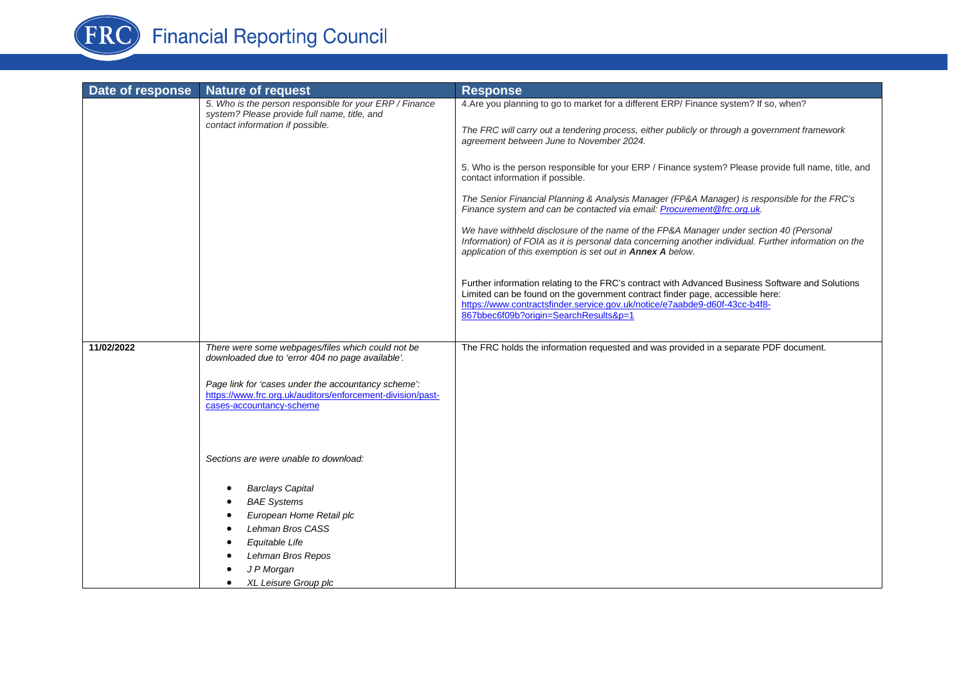

| Date of response | <b>Nature of request</b>                                                                                                                                                   | <b>Response</b>                                                                                                                                                                                                                                                                                          |
|------------------|----------------------------------------------------------------------------------------------------------------------------------------------------------------------------|----------------------------------------------------------------------------------------------------------------------------------------------------------------------------------------------------------------------------------------------------------------------------------------------------------|
|                  | 5. Who is the person responsible for your ERP / Finance<br>system? Please provide full name, title, and<br>contact information if possible.                                | 4. Are you planning to go to market for a different ERP/ Finance system? If so, when?<br>The FRC will carry out a tendering process, either publicly or through a government framework<br>agreement between June to November 2024.                                                                       |
|                  |                                                                                                                                                                            | 5. Who is the person responsible for your ERP / Finance system? Please provide full name, title, and<br>contact information if possible.                                                                                                                                                                 |
|                  |                                                                                                                                                                            | The Senior Financial Planning & Analysis Manager (FP&A Manager) is responsible for the FRC's<br>Finance system and can be contacted via email: Procurement @frc.org.uk.                                                                                                                                  |
|                  |                                                                                                                                                                            | We have withheld disclosure of the name of the FP&A Manager under section 40 (Personal<br>Information) of FOIA as it is personal data concerning another individual. Further information on the<br>application of this exemption is set out in Annex A below.                                            |
|                  |                                                                                                                                                                            | Further information relating to the FRC's contract with Advanced Business Software and Solutions<br>Limited can be found on the government contract finder page, accessible here:<br>https://www.contractsfinder.service.gov.uk/notice/e7aabde9-d60f-43cc-b4f8-<br>867bbec6f09b?origin=SearchResults&p=1 |
| 11/02/2022       | There were some webpages/files which could not be                                                                                                                          | The FRC holds the information requested and was provided in a separate PDF document.                                                                                                                                                                                                                     |
|                  | downloaded due to 'error 404 no page available'.                                                                                                                           |                                                                                                                                                                                                                                                                                                          |
|                  | Page link for 'cases under the accountancy scheme':<br>https://www.frc.org.uk/auditors/enforcement-division/past-<br>cases-accountancy-scheme                              |                                                                                                                                                                                                                                                                                                          |
|                  | Sections are were unable to download:                                                                                                                                      |                                                                                                                                                                                                                                                                                                          |
|                  | <b>Barclays Capital</b><br><b>BAE Systems</b><br>European Home Retail plc<br>Lehman Bros CASS<br>Equitable Life<br>Lehman Bros Repos<br>J P Morgan<br>XL Leisure Group plc |                                                                                                                                                                                                                                                                                                          |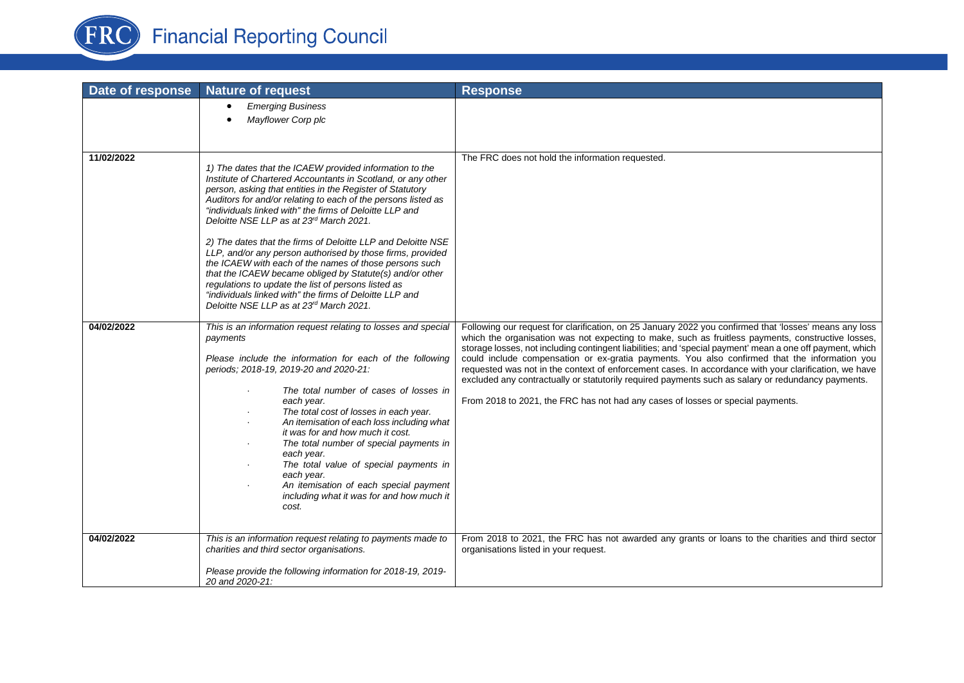

| Date of response | <b>Nature of request</b>                                                                                                                                                                                                                                                                                                                                                                                                                                                                                                                                                                                                                                                                                                                                                                 | <b>Response</b>                                                                                                                                                                                                                                                                                                                                                                                                                                                                                                                                                                                                                                                                                                              |
|------------------|------------------------------------------------------------------------------------------------------------------------------------------------------------------------------------------------------------------------------------------------------------------------------------------------------------------------------------------------------------------------------------------------------------------------------------------------------------------------------------------------------------------------------------------------------------------------------------------------------------------------------------------------------------------------------------------------------------------------------------------------------------------------------------------|------------------------------------------------------------------------------------------------------------------------------------------------------------------------------------------------------------------------------------------------------------------------------------------------------------------------------------------------------------------------------------------------------------------------------------------------------------------------------------------------------------------------------------------------------------------------------------------------------------------------------------------------------------------------------------------------------------------------------|
|                  | <b>Emerging Business</b><br>$\bullet$<br>Mayflower Corp plc                                                                                                                                                                                                                                                                                                                                                                                                                                                                                                                                                                                                                                                                                                                              |                                                                                                                                                                                                                                                                                                                                                                                                                                                                                                                                                                                                                                                                                                                              |
| 11/02/2022       | 1) The dates that the ICAEW provided information to the<br>Institute of Chartered Accountants in Scotland, or any other<br>person, asking that entities in the Register of Statutory<br>Auditors for and/or relating to each of the persons listed as<br>"individuals linked with" the firms of Deloitte LLP and<br>Deloitte NSE LLP as at 23 <sup>rd</sup> March 2021.<br>2) The dates that the firms of Deloitte LLP and Deloitte NSE<br>LLP, and/or any person authorised by those firms, provided<br>the ICAEW with each of the names of those persons such<br>that the ICAEW became obliged by Statute(s) and/or other<br>regulations to update the list of persons listed as<br>"individuals linked with" the firms of Deloitte LLP and<br>Deloitte NSE LLP as at 23rd March 2021. | The FRC does not hold the information requested.                                                                                                                                                                                                                                                                                                                                                                                                                                                                                                                                                                                                                                                                             |
| 04/02/2022       | This is an information request relating to losses and special<br>payments<br>Please include the information for each of the following<br>periods; 2018-19, 2019-20 and 2020-21:<br>The total number of cases of losses in<br>each year.<br>The total cost of losses in each year.<br>An itemisation of each loss including what<br>it was for and how much it cost.<br>The total number of special payments in<br>each year.<br>The total value of special payments in<br>each year.<br>An itemisation of each special payment<br>including what it was for and how much it<br>cost.                                                                                                                                                                                                     | Following our request for clarification, on 25 January 2022 you confirmed that 'losses' means any loss<br>which the organisation was not expecting to make, such as fruitless payments, constructive losses,<br>storage losses, not including contingent liabilities; and 'special payment' mean a one off payment, which<br>could include compensation or ex-gratia payments. You also confirmed that the information you<br>requested was not in the context of enforcement cases. In accordance with your clarification, we have<br>excluded any contractually or statutorily required payments such as salary or redundancy payments.<br>From 2018 to 2021, the FRC has not had any cases of losses or special payments. |
| 04/02/2022       | This is an information request relating to payments made to<br>charities and third sector organisations.<br>Please provide the following information for 2018-19, 2019-                                                                                                                                                                                                                                                                                                                                                                                                                                                                                                                                                                                                                  | From 2018 to 2021, the FRC has not awarded any grants or loans to the charities and third sector<br>organisations listed in your request.                                                                                                                                                                                                                                                                                                                                                                                                                                                                                                                                                                                    |
|                  | 20 and 2020-21:                                                                                                                                                                                                                                                                                                                                                                                                                                                                                                                                                                                                                                                                                                                                                                          |                                                                                                                                                                                                                                                                                                                                                                                                                                                                                                                                                                                                                                                                                                                              |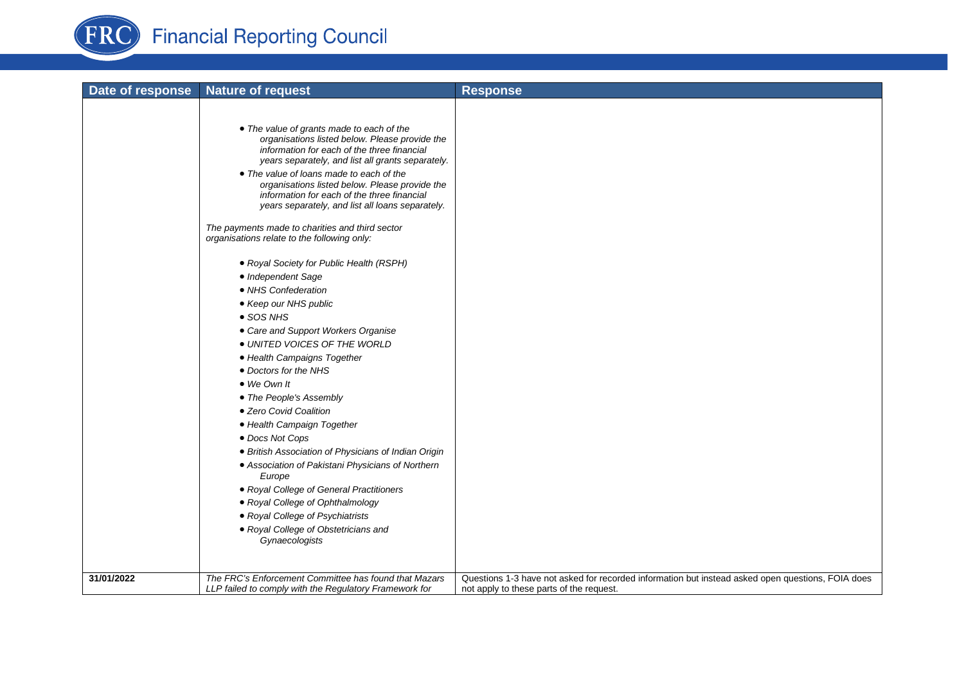

| Date of response | <b>Nature of request</b>                                                                                                                                                                                                                                                                                                                                                                                                                            | <b>Response</b>                                                                                                                               |
|------------------|-----------------------------------------------------------------------------------------------------------------------------------------------------------------------------------------------------------------------------------------------------------------------------------------------------------------------------------------------------------------------------------------------------------------------------------------------------|-----------------------------------------------------------------------------------------------------------------------------------------------|
|                  |                                                                                                                                                                                                                                                                                                                                                                                                                                                     |                                                                                                                                               |
|                  | • The value of grants made to each of the<br>organisations listed below. Please provide the<br>information for each of the three financial<br>years separately, and list all grants separately.<br>• The value of loans made to each of the<br>organisations listed below. Please provide the<br>information for each of the three financial<br>years separately, and list all loans separately.<br>The payments made to charities and third sector |                                                                                                                                               |
|                  | organisations relate to the following only:                                                                                                                                                                                                                                                                                                                                                                                                         |                                                                                                                                               |
|                  | • Royal Society for Public Health (RSPH)<br>• Independent Sage<br>• NHS Confederation<br>• Keep our NHS public<br>• SOS NHS<br>• Care and Support Workers Organise<br>· UNITED VOICES OF THE WORLD<br>• Health Campaigns Together<br>• Doctors for the NHS<br>• We Own It<br>• The People's Assembly<br>• Zero Covid Coalition<br>• Health Campaign Together                                                                                        |                                                                                                                                               |
|                  | • Docs Not Cops                                                                                                                                                                                                                                                                                                                                                                                                                                     |                                                                                                                                               |
|                  | • British Association of Physicians of Indian Origin<br>• Association of Pakistani Physicians of Northern<br>Europe                                                                                                                                                                                                                                                                                                                                 |                                                                                                                                               |
|                  | • Royal College of General Practitioners                                                                                                                                                                                                                                                                                                                                                                                                            |                                                                                                                                               |
|                  | • Royal College of Ophthalmology                                                                                                                                                                                                                                                                                                                                                                                                                    |                                                                                                                                               |
|                  | • Royal College of Psychiatrists                                                                                                                                                                                                                                                                                                                                                                                                                    |                                                                                                                                               |
|                  | • Royal College of Obstetricians and<br>Gynaecologists                                                                                                                                                                                                                                                                                                                                                                                              |                                                                                                                                               |
|                  |                                                                                                                                                                                                                                                                                                                                                                                                                                                     |                                                                                                                                               |
| 31/01/2022       | The FRC's Enforcement Committee has found that Mazars<br>LLP failed to comply with the Regulatory Framework for                                                                                                                                                                                                                                                                                                                                     | Questions 1-3 have not asked for recorded information but instead asked open questions, FOIA does<br>not apply to these parts of the request. |